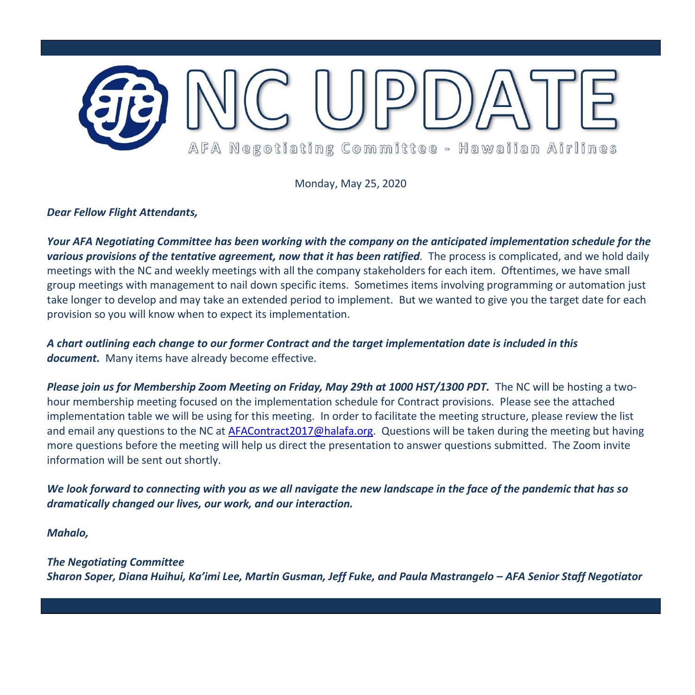

Monday, May 25, 2020

## *Dear Fellow Flight Attendants,*

*Your AFA Negotiating Committee has been working with the company on the anticipated implementation schedule for the various provisions of the tentative agreement, now that it has been ratified.* The process is complicated, and we hold daily meetings with the NC and weekly meetings with all the company stakeholders for each item. Oftentimes, we have small group meetings with management to nail down specific items. Sometimes items involving programming or automation just take longer to develop and may take an extended period to implement. But we wanted to give you the target date for each provision so you will know when to expect its implementation.

*A chart outlining each change to our former Contract and the target implementation date is included in this document.* Many items have already become effective.

*Please join us for Membership Zoom Meeting on Friday, May 29th at 1000 HST/1300 PDT.* The NC will be hosting a twohour membership meeting focused on the implementation schedule for Contract provisions. Please see the attached implementation table we will be using for this meeting. In order to facilitate the meeting structure, please review the list and email any questions to the NC at [AFAContract2017@halafa.org.](mailto:afacontract2017@halafa.org) Questions will be taken during the meeting but having more questions before the meeting will help us direct the presentation to answer questions submitted. The Zoom invite information will be sent out shortly.

*We look forward to connecting with you as we all navigate the new landscape in the face of the pandemic that has so dramatically changed our lives, our work, and our interaction.*

*Mahalo,*

*The Negotiating Committee Sharon Soper, Diana Huihui, Ka'imi Lee, Martin Gusman, Jeff Fuke, and Paula Mastrangelo – AFA Senior Staff Negotiator*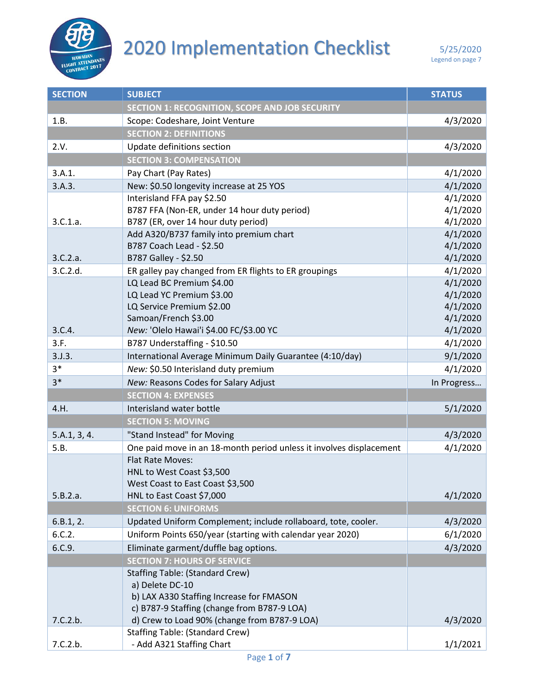

## **2020 Implementation Checklist** 5/25/2020

| <b>SECTION</b> | <b>SUBJECT</b>                                                      | <b>STATUS</b>        |
|----------------|---------------------------------------------------------------------|----------------------|
|                | <b>SECTION 1: RECOGNITION, SCOPE AND JOB SECURITY</b>               |                      |
| 1.B.           | Scope: Codeshare, Joint Venture                                     | 4/3/2020             |
|                | <b>SECTION 2: DEFINITIONS</b>                                       |                      |
| 2.V.           | Update definitions section                                          | 4/3/2020             |
|                | <b>SECTION 3: COMPENSATION</b>                                      |                      |
| 3.A.1.         | Pay Chart (Pay Rates)                                               | 4/1/2020             |
| 3.A.3.         | New: \$0.50 longevity increase at 25 YOS                            | 4/1/2020             |
|                | Interisland FFA pay \$2.50                                          | 4/1/2020             |
|                | B787 FFA (Non-ER, under 14 hour duty period)                        | 4/1/2020             |
| 3.C.1.a.       | B787 (ER, over 14 hour duty period)                                 | 4/1/2020             |
|                | Add A320/B737 family into premium chart                             | 4/1/2020             |
|                | B787 Coach Lead - \$2.50                                            | 4/1/2020             |
| 3.C.2.a.       | B787 Galley - \$2.50                                                | 4/1/2020             |
| 3.C.2.d.       | ER galley pay changed from ER flights to ER groupings               | 4/1/2020             |
|                | LQ Lead BC Premium \$4.00                                           | 4/1/2020             |
|                | LQ Lead YC Premium \$3.00<br>LQ Service Premium \$2.00              | 4/1/2020<br>4/1/2020 |
|                | Samoan/French \$3.00                                                | 4/1/2020             |
| 3.C.4.         | New: 'Olelo Hawai'i \$4.00 FC/\$3.00 YC                             | 4/1/2020             |
| 3.F.           | B787 Understaffing - \$10.50                                        | 4/1/2020             |
| 3. J.3.        | International Average Minimum Daily Guarantee (4:10/day)            | 9/1/2020             |
| $3*$           | New: \$0.50 Interisland duty premium                                | 4/1/2020             |
| $3*$           | New: Reasons Codes for Salary Adjust                                | In Progress          |
|                | <b>SECTION 4: EXPENSES</b>                                          |                      |
| 4.H.           | Interisland water bottle                                            | 5/1/2020             |
|                | <b>SECTION 5: MOVING</b>                                            |                      |
| 5.A.1, 3, 4.   | "Stand Instead" for Moving                                          | 4/3/2020             |
| 5.B.           | One paid move in an 18-month period unless it involves displacement | 4/1/2020             |
|                | Flat Rate Moves:                                                    |                      |
|                | HNL to West Coast \$3,500                                           |                      |
|                | West Coast to East Coast \$3,500                                    |                      |
| 5.B.2.a.       | HNL to East Coast \$7,000                                           | 4/1/2020             |
|                | <b>SECTION 6: UNIFORMS</b>                                          |                      |
| 6.B.1, 2.      | Updated Uniform Complement; include rollaboard, tote, cooler.       | 4/3/2020             |
| 6.C.2.         | Uniform Points 650/year (starting with calendar year 2020)          | 6/1/2020             |
| 6.C.9.         | Eliminate garment/duffle bag options.                               | 4/3/2020             |
|                | <b>SECTION 7: HOURS OF SERVICE</b>                                  |                      |
|                | <b>Staffing Table: (Standard Crew)</b>                              |                      |
|                | a) Delete DC-10                                                     |                      |
|                | b) LAX A330 Staffing Increase for FMASON                            |                      |
|                | c) B787-9 Staffing (change from B787-9 LOA)                         |                      |
| 7.C.2.b.       | d) Crew to Load 90% (change from B787-9 LOA)                        | 4/3/2020             |
|                | <b>Staffing Table: (Standard Crew)</b>                              |                      |
| 7.C.2.b.       | - Add A321 Staffing Chart                                           | 1/1/2021             |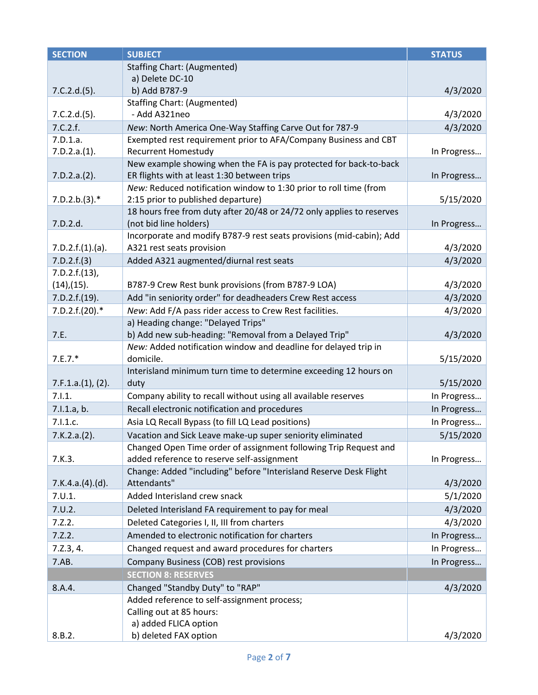| <b>SECTION</b>    | <b>SUBJECT</b>                                                                                                   | <b>STATUS</b> |
|-------------------|------------------------------------------------------------------------------------------------------------------|---------------|
|                   | <b>Staffing Chart: (Augmented)</b>                                                                               |               |
|                   | a) Delete DC-10                                                                                                  |               |
| 7.C.2.d.(5).      | b) Add B787-9                                                                                                    | 4/3/2020      |
|                   | <b>Staffing Chart: (Augmented)</b>                                                                               |               |
| 7.C.2.d.(5).      | - Add A321neo                                                                                                    | 4/3/2020      |
| 7.C.2.f.          | New: North America One-Way Staffing Carve Out for 787-9                                                          | 4/3/2020      |
| 7.D.1.a.          | Exempted rest requirement prior to AFA/Company Business and CBT                                                  |               |
| 7.D.2.a.(1).      | Recurrent Homestudy                                                                                              | In Progress   |
| 7.D.2.a.(2).      | New example showing when the FA is pay protected for back-to-back<br>ER flights with at least 1:30 between trips | In Progress   |
|                   | New: Reduced notification window to 1:30 prior to roll time (from                                                |               |
| $7.D.2.b.(3).*$   | 2:15 prior to published departure)                                                                               | 5/15/2020     |
|                   | 18 hours free from duty after 20/48 or 24/72 only applies to reserves                                            |               |
| 7.D.2.d.          | (not bid line holders)                                                                                           | In Progress   |
|                   | Incorporate and modify B787-9 rest seats provisions (mid-cabin); Add                                             |               |
| 7.D.2.f.(1).(a).  | A321 rest seats provision                                                                                        | 4/3/2020      |
| 7.D.2.f.(3)       | Added A321 augmented/diurnal rest seats                                                                          | 4/3/2020      |
| 7.D.2.f.(13),     |                                                                                                                  |               |
| $(14)$ , $(15)$ . | B787-9 Crew Rest bunk provisions (from B787-9 LOA)                                                               | 4/3/2020      |
| 7.D.2.f.(19).     | Add "in seniority order" for deadheaders Crew Rest access                                                        | 4/3/2020      |
| $7.D.2.f.(20).*$  | New: Add F/A pass rider access to Crew Rest facilities.                                                          | 4/3/2020      |
|                   | a) Heading change: "Delayed Trips"                                                                               |               |
| 7.E.              | b) Add new sub-heading: "Removal from a Delayed Trip"                                                            | 4/3/2020      |
|                   | New: Added notification window and deadline for delayed trip in                                                  |               |
| $7.E.7.*$         | domicile.                                                                                                        | 5/15/2020     |
|                   | Interisland minimum turn time to determine exceeding 12 hours on                                                 |               |
| 7.F.1.a.(1), (2). | duty                                                                                                             | 5/15/2020     |
| 7.1.1.            | Company ability to recall without using all available reserves                                                   | In Progress   |
| 7.1.1.a, b.       | Recall electronic notification and procedures                                                                    | In Progress   |
| 7.1.1.c.          | Asia LQ Recall Bypass (to fill LQ Lead positions)                                                                | In Progress   |
| 7.K.2.a.(2).      | Vacation and Sick Leave make-up super seniority eliminated                                                       | 5/15/2020     |
|                   | Changed Open Time order of assignment following Trip Request and                                                 |               |
| 7.K.3.            | added reference to reserve self-assignment                                                                       | In Progress   |
|                   | Change: Added "including" before "Interisland Reserve Desk Flight                                                |               |
| 7.K.4.a.(4).(d).  | Attendants"                                                                                                      | 4/3/2020      |
| 7.0.1.            | Added Interisland crew snack                                                                                     | 5/1/2020      |
| 7.0.2.            | Deleted Interisland FA requirement to pay for meal                                                               | 4/3/2020      |
| 7.2.2.            | Deleted Categories I, II, III from charters                                                                      | 4/3/2020      |
| 7.2.2.            | Amended to electronic notification for charters                                                                  | In Progress   |
| 7.2.3, 4.         | Changed request and award procedures for charters                                                                | In Progress   |
| 7.AB.             | Company Business (COB) rest provisions                                                                           | In Progress   |
|                   | <b>SECTION 8: RESERVES</b>                                                                                       |               |
| 8.A.4.            | Changed "Standby Duty" to "RAP"                                                                                  | 4/3/2020      |
|                   | Added reference to self-assignment process;                                                                      |               |
|                   | Calling out at 85 hours:                                                                                         |               |
|                   | a) added FLICA option                                                                                            |               |
| 8.B.2.            | b) deleted FAX option                                                                                            | 4/3/2020      |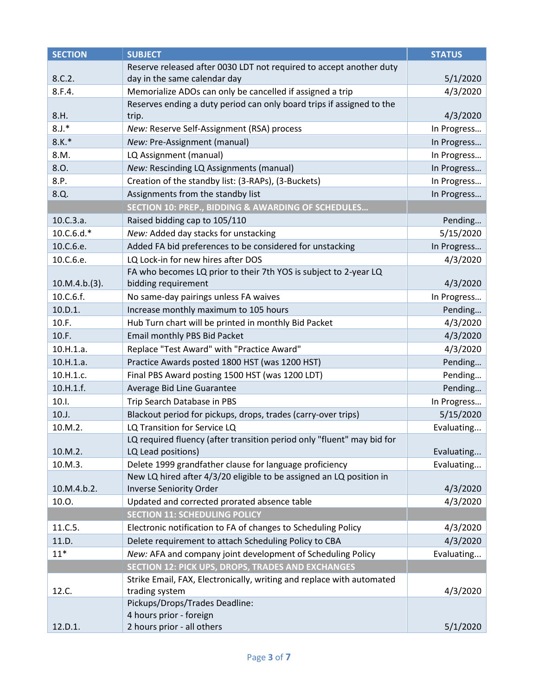| <b>SECTION</b> | <b>SUBJECT</b>                                                         | <b>STATUS</b> |
|----------------|------------------------------------------------------------------------|---------------|
|                | Reserve released after 0030 LDT not required to accept another duty    |               |
| 8.C.2.         | day in the same calendar day                                           | 5/1/2020      |
| 8.F.4.         | Memorialize ADOs can only be cancelled if assigned a trip              | 4/3/2020      |
|                | Reserves ending a duty period can only board trips if assigned to the  |               |
| 8.H.           | trip.                                                                  | 4/3/2020      |
| $8.J.*$        | New: Reserve Self-Assignment (RSA) process                             | In Progress   |
| $8.K.*$        | New: Pre-Assignment (manual)                                           | In Progress   |
| 8.M.           | LQ Assignment (manual)                                                 | In Progress   |
| 8.O.           | New: Rescinding LQ Assignments (manual)                                | In Progress   |
| 8.P.           | Creation of the standby list: (3-RAPs), (3-Buckets)                    | In Progress   |
| 8.Q.           | Assignments from the standby list                                      | In Progress   |
|                | SECTION 10: PREP., BIDDING & AWARDING OF SCHEDULES                     |               |
| 10.C.3.a.      | Raised bidding cap to 105/110                                          | Pending       |
| $10.C.6.d.*$   | New: Added day stacks for unstacking                                   | 5/15/2020     |
| 10.C.6.e.      | Added FA bid preferences to be considered for unstacking               | In Progress   |
| 10.C.6.e.      | LQ Lock-in for new hires after DOS                                     | 4/3/2020      |
|                | FA who becomes LQ prior to their 7th YOS is subject to 2-year LQ       |               |
| 10.M.4.b.(3).  | bidding requirement                                                    | 4/3/2020      |
| 10.C.6.f.      | No same-day pairings unless FA waives                                  | In Progress   |
| 10.D.1.        | Increase monthly maximum to 105 hours                                  | Pending       |
| 10.F.          | Hub Turn chart will be printed in monthly Bid Packet                   | 4/3/2020      |
| 10.F.          | Email monthly PBS Bid Packet                                           | 4/3/2020      |
| 10.H.1.a.      | Replace "Test Award" with "Practice Award"                             | 4/3/2020      |
| 10.H.1.a.      | Practice Awards posted 1800 HST (was 1200 HST)                         | Pending       |
| 10.H.1.c.      | Final PBS Award posting 1500 HST (was 1200 LDT)                        | Pending       |
| 10.H.1.f.      | Average Bid Line Guarantee                                             | Pending       |
| 10.1.          | Trip Search Database in PBS                                            | In Progress   |
| 10.J.          | Blackout period for pickups, drops, trades (carry-over trips)          | 5/15/2020     |
| 10.M.2.        | LQ Transition for Service LQ                                           | Evaluating    |
|                | LQ required fluency (after transition period only "fluent" may bid for |               |
| 10.M.2.        | LQ Lead positions)                                                     | Evaluating    |
| 10.M.3.        | Delete 1999 grandfather clause for language proficiency                | Evaluating    |
|                | New LQ hired after 4/3/20 eligible to be assigned an LQ position in    |               |
| 10.M.4.b.2.    | <b>Inverse Seniority Order</b>                                         | 4/3/2020      |
| 10.O.          | Updated and corrected prorated absence table                           | 4/3/2020      |
|                | <b>SECTION 11: SCHEDULING POLICY</b>                                   |               |
| 11.C.5.        | Electronic notification to FA of changes to Scheduling Policy          | 4/3/2020      |
| 11.D.          | Delete requirement to attach Scheduling Policy to CBA                  | 4/3/2020      |
| $11*$          | New: AFA and company joint development of Scheduling Policy            | Evaluating    |
|                | <b>SECTION 12: PICK UPS, DROPS, TRADES AND EXCHANGES</b>               |               |
|                | Strike Email, FAX, Electronically, writing and replace with automated  |               |
| 12.C.          | trading system                                                         | 4/3/2020      |
|                | Pickups/Drops/Trades Deadline:                                         |               |
|                | 4 hours prior - foreign                                                |               |
| 12.D.1.        | 2 hours prior - all others                                             | 5/1/2020      |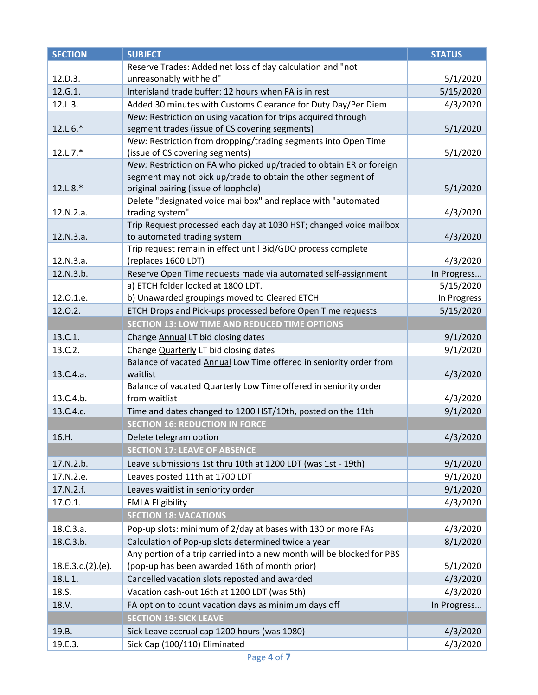| <b>SECTION</b>    | <b>SUBJECT</b>                                                                        | <b>STATUS</b> |
|-------------------|---------------------------------------------------------------------------------------|---------------|
|                   | Reserve Trades: Added net loss of day calculation and "not                            |               |
| 12.D.3.           | unreasonably withheld"                                                                | 5/1/2020      |
| 12.G.1.           | Interisland trade buffer: 12 hours when FA is in rest                                 | 5/15/2020     |
| 12.L.3.           | Added 30 minutes with Customs Clearance for Duty Day/Per Diem                         | 4/3/2020      |
|                   | New: Restriction on using vacation for trips acquired through                         |               |
| $12. L.6.*$       | segment trades (issue of CS covering segments)                                        | 5/1/2020      |
|                   | New: Restriction from dropping/trading segments into Open Time                        |               |
| $12.L.7.*$        | (issue of CS covering segments)                                                       | 5/1/2020      |
|                   | New: Restriction on FA who picked up/traded to obtain ER or foreign                   |               |
|                   | segment may not pick up/trade to obtain the other segment of                          |               |
| 12.L.8.*          | original pairing (issue of loophole)                                                  | 5/1/2020      |
|                   | Delete "designated voice mailbox" and replace with "automated                         |               |
| 12.N.2.a.         | trading system"<br>Trip Request processed each day at 1030 HST; changed voice mailbox | 4/3/2020      |
| 12.N.3.a.         | to automated trading system                                                           | 4/3/2020      |
|                   | Trip request remain in effect until Bid/GDO process complete                          |               |
| 12.N.3.a.         | (replaces 1600 LDT)                                                                   | 4/3/2020      |
| 12.N.3.b.         | Reserve Open Time requests made via automated self-assignment                         | In Progress   |
|                   | a) ETCH folder locked at 1800 LDT.                                                    | 5/15/2020     |
| 12.0.1.e.         | b) Unawarded groupings moved to Cleared ETCH                                          | In Progress   |
| 12.0.2.           | ETCH Drops and Pick-ups processed before Open Time requests                           | 5/15/2020     |
|                   | <b>SECTION 13: LOW TIME AND REDUCED TIME OPTIONS</b>                                  |               |
| 13.C.1.           | Change Annual LT bid closing dates                                                    | 9/1/2020      |
| 13.C.2.           | Change Quarterly LT bid closing dates                                                 | 9/1/2020      |
|                   | Balance of vacated Annual Low Time offered in seniority order from                    |               |
| 13.C.4.a.         | waitlist                                                                              | 4/3/2020      |
|                   | Balance of vacated Quarterly Low Time offered in seniority order                      |               |
| 13.C.4.b.         | from waitlist                                                                         | 4/3/2020      |
| 13.C.4.c.         | Time and dates changed to 1200 HST/10th, posted on the 11th                           | 9/1/2020      |
|                   | <b>SECTION 16: REDUCTION IN FORCE</b>                                                 |               |
| 16.H.             | Delete telegram option                                                                | 4/3/2020      |
|                   | <b>SECTION 17: LEAVE OF ABSENCE</b>                                                   |               |
| 17.N.2.b.         | Leave submissions 1st thru 10th at 1200 LDT (was 1st - 19th)                          | 9/1/2020      |
| 17.N.2.e.         | Leaves posted 11th at 1700 LDT                                                        | 9/1/2020      |
| 17.N.2.f.         | Leaves waitlist in seniority order                                                    | 9/1/2020      |
| 17.0.1.           | <b>FMLA Eligibility</b>                                                               | 4/3/2020      |
|                   | <b>SECTION 18: VACATIONS</b>                                                          |               |
| 18.C.3.a.         | Pop-up slots: minimum of 2/day at bases with 130 or more FAs                          | 4/3/2020      |
| 18.C.3.b.         | Calculation of Pop-up slots determined twice a year                                   | 8/1/2020      |
|                   | Any portion of a trip carried into a new month will be blocked for PBS                |               |
| 18.E.3.c.(2).(e). | (pop-up has been awarded 16th of month prior)                                         | 5/1/2020      |
| 18.L.1.           | Cancelled vacation slots reposted and awarded                                         | 4/3/2020      |
| 18.S.             | Vacation cash-out 16th at 1200 LDT (was 5th)                                          | 4/3/2020      |
| 18.V.             | FA option to count vacation days as minimum days off                                  | In Progress   |
|                   | <b>SECTION 19: SICK LEAVE</b>                                                         |               |
| 19.B.             | Sick Leave accrual cap 1200 hours (was 1080)                                          | 4/3/2020      |
| 19.E.3.           | Sick Cap (100/110) Eliminated                                                         | 4/3/2020      |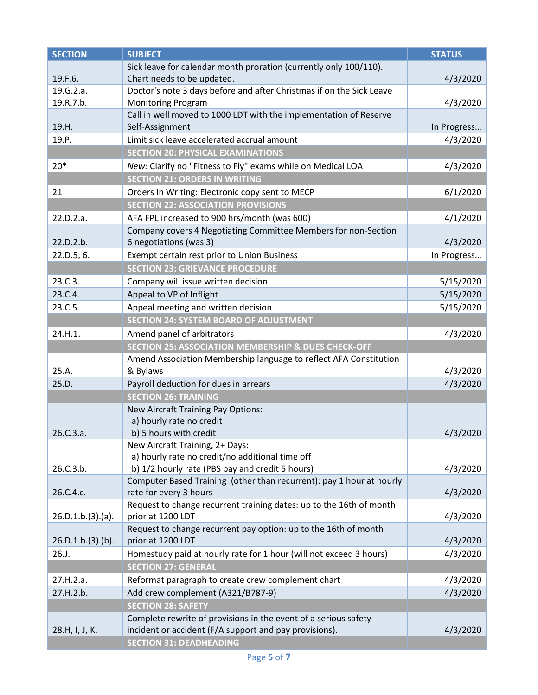| <b>SECTION</b>    | <b>SUBJECT</b>                                                       | <b>STATUS</b> |
|-------------------|----------------------------------------------------------------------|---------------|
|                   | Sick leave for calendar month proration (currently only 100/110).    |               |
| 19.F.6.           | Chart needs to be updated.                                           | 4/3/2020      |
| 19.G.2.a.         | Doctor's note 3 days before and after Christmas if on the Sick Leave |               |
| 19.R.7.b.         | <b>Monitoring Program</b>                                            | 4/3/2020      |
|                   | Call in well moved to 1000 LDT with the implementation of Reserve    |               |
| 19.H.             | Self-Assignment                                                      | In Progress   |
| 19.P.             | Limit sick leave accelerated accrual amount                          | 4/3/2020      |
|                   | <b>SECTION 20: PHYSICAL EXAMINATIONS</b>                             |               |
| $20*$             | New: Clarify no "Fitness to Fly" exams while on Medical LOA          | 4/3/2020      |
|                   | <b>SECTION 21: ORDERS IN WRITING</b>                                 |               |
| 21                | Orders In Writing: Electronic copy sent to MECP                      | 6/1/2020      |
|                   | <b>SECTION 22: ASSOCIATION PROVISIONS</b>                            |               |
| 22.D.2.a.         | AFA FPL increased to 900 hrs/month (was 600)                         | 4/1/2020      |
|                   | Company covers 4 Negotiating Committee Members for non-Section       |               |
| 22.D.2.b.         | 6 negotiations (was 3)                                               | 4/3/2020      |
| 22.D.5, 6.        | Exempt certain rest prior to Union Business                          | In Progress   |
|                   | <b>SECTION 23: GRIEVANCE PROCEDURE</b>                               |               |
| 23.C.3.           | Company will issue written decision                                  | 5/15/2020     |
| 23.C.4.           | Appeal to VP of Inflight                                             | 5/15/2020     |
| 23.C.5.           | Appeal meeting and written decision                                  | 5/15/2020     |
|                   | <b>SECTION 24: SYSTEM BOARD OF ADJUSTMENT</b>                        |               |
| 24.H.1.           | Amend panel of arbitrators                                           | 4/3/2020      |
|                   | <b>SECTION 25: ASSOCIATION MEMBERSHIP &amp; DUES CHECK-OFF</b>       |               |
|                   | Amend Association Membership language to reflect AFA Constitution    |               |
| 25.A.             | & Bylaws                                                             | 4/3/2020      |
| 25.D.             | Payroll deduction for dues in arrears                                | 4/3/2020      |
|                   | <b>SECTION 26: TRAINING</b>                                          |               |
|                   | <b>New Aircraft Training Pay Options:</b>                            |               |
|                   | a) hourly rate no credit                                             |               |
| 26.C.3.a.         | b) 5 hours with credit                                               | 4/3/2020      |
|                   | New Aircraft Training, 2+ Days:                                      |               |
|                   | a) hourly rate no credit/no additional time off                      |               |
| 26.C.3.b.         | b) 1/2 hourly rate (PBS pay and credit 5 hours)                      | 4/3/2020      |
|                   | Computer Based Training (other than recurrent): pay 1 hour at hourly |               |
| 26.C.4.c.         | rate for every 3 hours                                               | 4/3/2020      |
|                   | Request to change recurrent training dates: up to the 16th of month  |               |
| 26.D.1.b.(3).(a). | prior at 1200 LDT                                                    | 4/3/2020      |
|                   | Request to change recurrent pay option: up to the 16th of month      |               |
| 26.D.1.b.(3).(b). | prior at 1200 LDT                                                    | 4/3/2020      |
| 26.J.             | Homestudy paid at hourly rate for 1 hour (will not exceed 3 hours)   | 4/3/2020      |
|                   | <b>SECTION 27: GENERAL</b>                                           |               |
| 27.H.2.a.         | Reformat paragraph to create crew complement chart                   | 4/3/2020      |
| 27.H.2.b.         | Add crew complement (A321/B787-9)                                    | 4/3/2020      |
|                   | <b>SECTION 28: SAFETY</b>                                            |               |
|                   | Complete rewrite of provisions in the event of a serious safety      |               |
| 28.H, I, J, K.    | incident or accident (F/A support and pay provisions).               | 4/3/2020      |
|                   | <b>SECTION 31: DEADHEADING</b>                                       |               |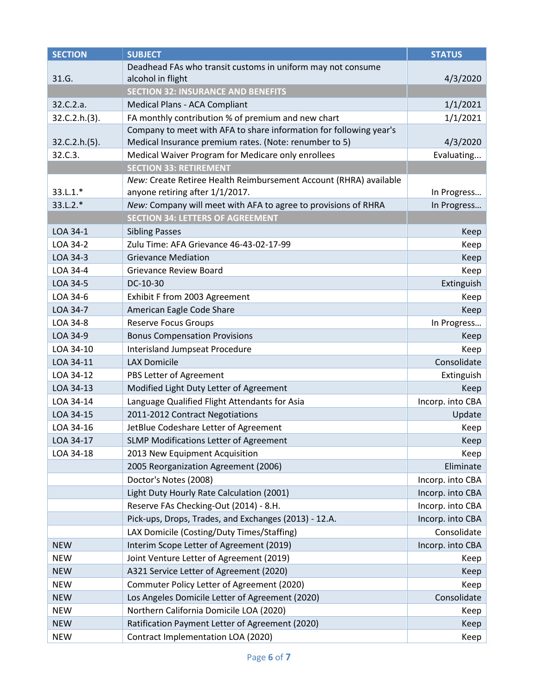| <b>SECTION</b> | <b>SUBJECT</b>                                                     | <b>STATUS</b>    |
|----------------|--------------------------------------------------------------------|------------------|
|                | Deadhead FAs who transit customs in uniform may not consume        |                  |
| 31.G.          | alcohol in flight                                                  | 4/3/2020         |
|                | <b>SECTION 32: INSURANCE AND BENEFITS</b>                          |                  |
| 32.C.2.a.      | Medical Plans - ACA Compliant                                      | 1/1/2021         |
| 32.C.2.h.(3).  | FA monthly contribution % of premium and new chart                 | 1/1/2021         |
|                | Company to meet with AFA to share information for following year's |                  |
| 32.C.2.h.(5).  | Medical Insurance premium rates. (Note: renumber to 5)             | 4/3/2020         |
| 32.C.3.        | Medical Waiver Program for Medicare only enrollees                 | Evaluating       |
|                | <b>SECTION 33: RETIREMENT</b>                                      |                  |
|                | New: Create Retiree Health Reimbursement Account (RHRA) available  |                  |
| 33.L.1.*       | anyone retiring after 1/1/2017.                                    | In Progress      |
| $33.L.2.*$     | New: Company will meet with AFA to agree to provisions of RHRA     | In Progress      |
|                | <b>SECTION 34: LETTERS OF AGREEMENT</b>                            |                  |
| LOA 34-1       | <b>Sibling Passes</b>                                              | Keep             |
| LOA 34-2       | Zulu Time: AFA Grievance 46-43-02-17-99                            | Keep             |
| LOA 34-3       | <b>Grievance Mediation</b>                                         | Keep             |
| LOA 34-4       | <b>Grievance Review Board</b>                                      | Keep             |
| LOA 34-5       | DC-10-30                                                           | Extinguish       |
| LOA 34-6       | Exhibit F from 2003 Agreement                                      | Keep             |
| LOA 34-7       | American Eagle Code Share                                          | Keep             |
| LOA 34-8       | <b>Reserve Focus Groups</b>                                        | In Progress      |
| LOA 34-9       | <b>Bonus Compensation Provisions</b>                               | Keep             |
| LOA 34-10      | <b>Interisland Jumpseat Procedure</b>                              | Keep             |
| LOA 34-11      | <b>LAX Domicile</b>                                                | Consolidate      |
| LOA 34-12      | PBS Letter of Agreement                                            | Extinguish       |
| LOA 34-13      | Modified Light Duty Letter of Agreement                            | Keep             |
| LOA 34-14      | Language Qualified Flight Attendants for Asia                      | Incorp. into CBA |
| LOA 34-15      | 2011-2012 Contract Negotiations                                    | Update           |
| LOA 34-16      | JetBlue Codeshare Letter of Agreement                              | Keep             |
| LOA 34-17      | SLMP Modifications Letter of Agreement                             | Keep             |
| LOA 34-18      | 2013 New Equipment Acquisition                                     | Keep             |
|                | 2005 Reorganization Agreement (2006)                               | Eliminate        |
|                | Doctor's Notes (2008)                                              | Incorp. into CBA |
|                | Light Duty Hourly Rate Calculation (2001)                          | Incorp. into CBA |
|                | Reserve FAs Checking-Out (2014) - 8.H.                             | Incorp. into CBA |
|                | Pick-ups, Drops, Trades, and Exchanges (2013) - 12.A.              | Incorp. into CBA |
|                | LAX Domicile (Costing/Duty Times/Staffing)                         | Consolidate      |
| <b>NEW</b>     | Interim Scope Letter of Agreement (2019)                           | Incorp. into CBA |
| <b>NEW</b>     | Joint Venture Letter of Agreement (2019)                           | Keep             |
| <b>NEW</b>     | A321 Service Letter of Agreement (2020)                            | Keep             |
| <b>NEW</b>     | Commuter Policy Letter of Agreement (2020)                         | Keep             |
| <b>NEW</b>     | Los Angeles Domicile Letter of Agreement (2020)                    | Consolidate      |
| <b>NEW</b>     | Northern California Domicile LOA (2020)                            | Keep             |
| <b>NEW</b>     | Ratification Payment Letter of Agreement (2020)                    | Keep             |
| <b>NEW</b>     | Contract Implementation LOA (2020)                                 | Keep             |
|                |                                                                    |                  |